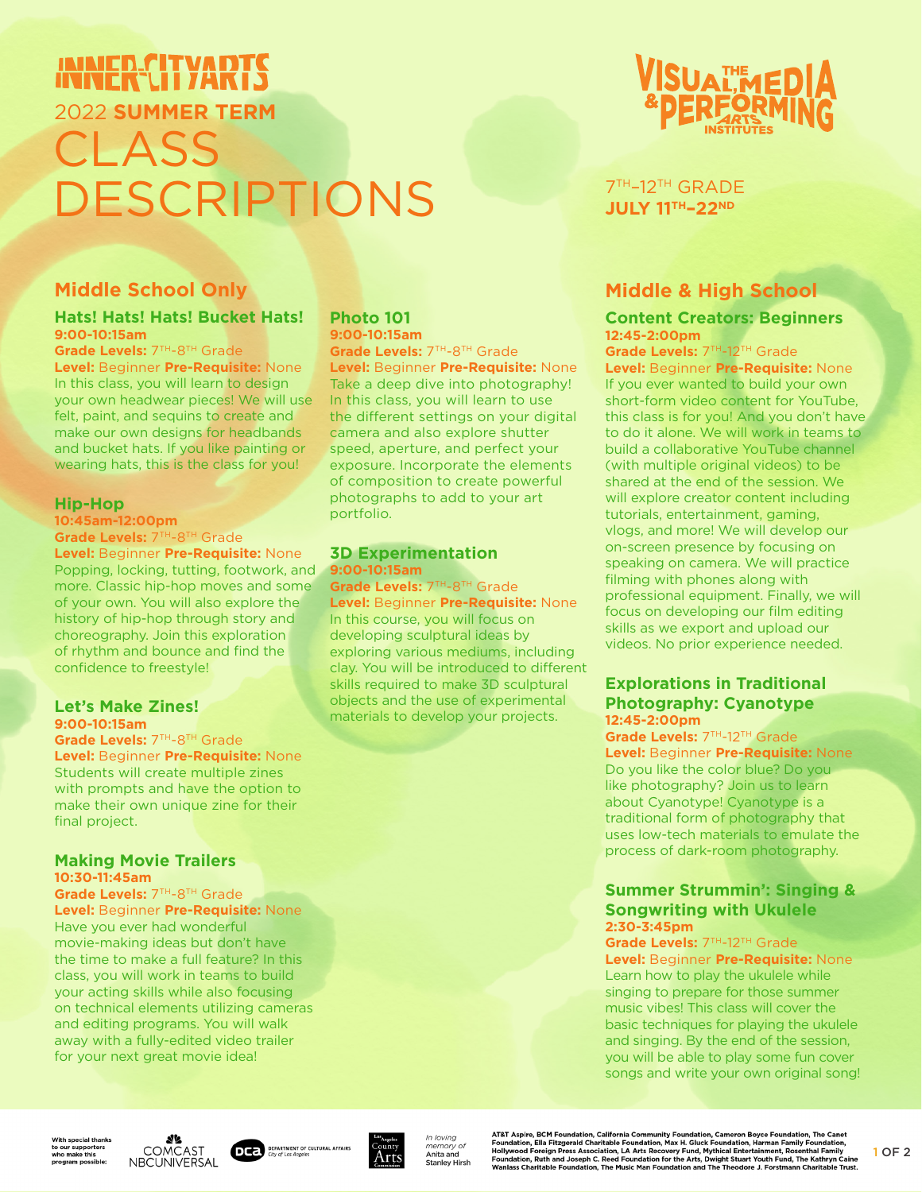# INNER-CITYART 2022 **SUMMER TERM** CLASS DESCRIPTIONS

# **Middle School Only**

#### **Hats! Hats! Hats! Bucket Hats! 9:00-10:15am**

**Grade Levels:** 7TH-8TH Grade

**Level:** Beginner **Pre-Requisite:** None In this class, you will learn to design your own headwear pieces! We will use felt, paint, and sequins to create and make our own designs for headbands and bucket hats. If you like painting or wearing hats, this is the class for you!

### **Hip-Hop**

**10:45am-12:00pm Grade Levels:** 7TH-8TH Grade

**Level:** Beginner **Pre-Requisite:** None Popping, locking, tutting, footwork, and more. Classic hip-hop moves and some of your own. You will also explore the history of hip-hop through story and choreography. Join this exploration of rhythm and bounce and find the confidence to freestyle!

#### **Let's Make Zines! 9:00-10:15am**

**Grade Levels:** 7TH-8TH Grade **Level:** Beginner **Pre-Requisite:** None Students will create multiple zines with prompts and have the option to make their own unique zine for their final project.

#### **Making Movie Trailers 10:30-11:45am**

**Grade Levels:** 7TH-8TH Grade **Level:** Beginner **Pre-Requisite:** None

Have you ever had wonderful movie-making ideas but don't have the time to make a full feature? In this class, you will work in teams to build your acting skills while also focusing on technical elements utilizing cameras and editing programs. You will walk away with a fully-edited video trailer for your next great movie idea!

#### **Photo 101 9:00-10:15am**

**Grade Levels:** 7TH-8TH Grade **Level:** Beginner **Pre-Requisite:** None Take a deep dive into photography! In this class, you will learn to use the different settings on your digital camera and also explore shutter speed, aperture, and perfect your exposure. Incorporate the elements of composition to create powerful photographs to add to your art portfolio.

#### **3D Experimentation 9:00-10:15am**

Grade Levels: 7TH-8TH Grade **Level:** Beginner **Pre-Requisite:** None In this course, you will focus on developing sculptural ideas by exploring various mediums, including clay. You will be introduced to different skills required to make 3D sculptural objects and the use of experimental materials to develop your projects.



# 7TH–12TH GRADE **JULY 11TH–22ND**

# **Middle & High School**

#### **Content Creators: Beginners 12:45-2:00pm**

**Grade Levels:** 7TH-12TH Grade

**Level:** Beginner **Pre-Requisite:** None If you ever wanted to build your own short-form video content for YouTube, this class is for you! And you don't have to do it alone. We will work in teams to build a collaborative YouTube channel (with multiple original videos) to be shared at the end of the session. We will explore creator content including tutorials, entertainment, gaming, vlogs, and more! We will develop our on-screen presence by focusing on speaking on camera. We will practice filming with phones along with professional equipment. Finally, we will focus on developing our film editing skills as we export and upload our videos. No prior experience needed.

#### **Explorations in Traditional Photography: Cyanotype 12:45-2:00pm**

**Grade Levels: 7TH-12TH Grade Level:** Beginner **Pre-Requisite:** None Do you like the color blue? Do you like photography? Join us to learn about Cyanotype! Cyanotype is a traditional form of photography that uses low-tech materials to emulate the process of dark-room photography.

#### **Summer Strummin': Singing & Songwriting with Ukulele 2:30-3:45pm**

Grade Levels: 7TH-12TH Grade **Level:** Beginner **Pre-Requisite:** None Learn how to play the ukulele while singing to prepare for those summer music vibes! This class will cover the basic techniques for playing the ukulele and singing. By the end of the session, you will be able to play some fun cover songs and write your own original song!

**Vith special thank:** Vith special thank<br>b our supporters<br>rho make this<br>rogram possible:





In loving memory of<br>**Anita and Stanley Hirsh**  AT&T Aspire, BCM Foundation, California Community Foundation, Cameron Boyce Foundation, The Canet<br>Foundation, Ella Fitzgerald Charitable Foundation, Max H. Gluck Foundation, Harman Family Foundation,<br>Hollywood Foreign Pres